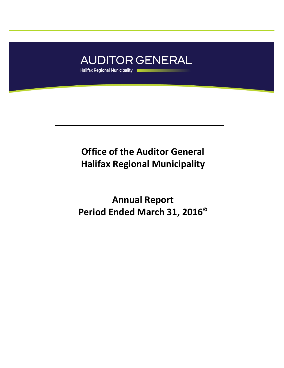

## **Office of the Auditor General Halifax Regional Municipality**

**Annual Report Period Ended March 31, 2016©**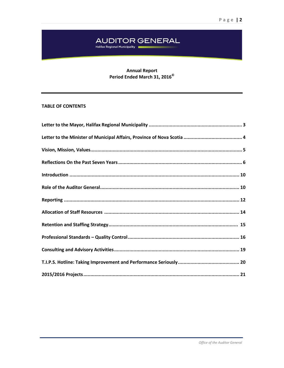# AUDITOR GENERAL<br>Halifax Regional Municipality

## **Annual Report** Period Ended March 31, 2016<sup>©</sup>

## **TABLE OF CONTENTS**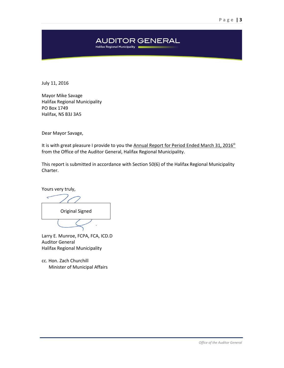## **AUDITOR GENERAL** Halifax Regional Municipality

July 11, 2016

Mayor Mike Savage Halifax Regional Municipality PO Box 1749 Halifax, NS B3J 3A5

Dear Mayor Savage,

It is with great pleasure I provide to you the Annual Report for Period Ended March 31, 2016<sup>®</sup> from the Office of the Auditor General, Halifax Regional Municipality.

This report is submitted in accordance with Section 50(6) of the Halifax Regional Municipality Charter.

Yours very truly,

Original Signed

Larry E. Munroe, FCPA, FCA, ICD.D Auditor General Halifax Regional Municipality

cc. Hon. Zach Churchill Minister of Municipal Affairs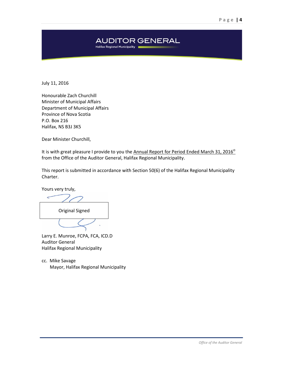## **AUDITOR GENERAL** Halifax Regional Municipality

July 11, 2016

Honourable Zach Churchill Minister of Municipal Affairs Department of Municipal Affairs Province of Nova Scotia P.O. Box 216 Halifax, NS B3J 3K5

Dear Minister Churchill,

It is with great pleasure I provide to you the Annual Report for Period Ended March 31, 2016<sup>°</sup> from the Office of the Auditor General, Halifax Regional Municipality.

This report is submitted in accordance with Section 50(6) of the Halifax Regional Municipality Charter.

Yours very truly,

Original Signed

Larry E. Munroe, FCPA, FCA, ICD.D Auditor General Halifax Regional Municipality

cc. Mike Savage Mayor, Halifax Regional Municipality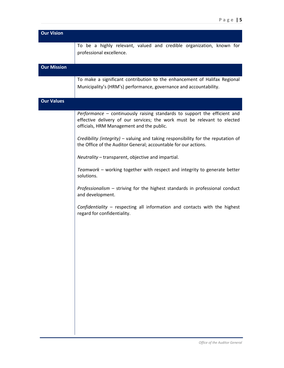| <b>Our Vision</b>  |                                                                                                                                                                                                    |
|--------------------|----------------------------------------------------------------------------------------------------------------------------------------------------------------------------------------------------|
|                    | To be a highly relevant, valued and credible organization, known for<br>professional excellence.                                                                                                   |
| <b>Our Mission</b> |                                                                                                                                                                                                    |
|                    | To make a significant contribution to the enhancement of Halifax Regional<br>Municipality's (HRM's) performance, governance and accountability.                                                    |
| <b>Our Values</b>  |                                                                                                                                                                                                    |
|                    | Performance - continuously raising standards to support the efficient and<br>effective delivery of our services; the work must be relevant to elected<br>officials, HRM Management and the public. |
|                    | Credibility (integrity) – valuing and taking responsibility for the reputation of<br>the Office of the Auditor General; accountable for our actions.                                               |
|                    | Neutrality - transparent, objective and impartial.                                                                                                                                                 |
|                    | Teamwork - working together with respect and integrity to generate better<br>solutions.                                                                                                            |
|                    | Professionalism $-$ striving for the highest standards in professional conduct<br>and development.                                                                                                 |
|                    | Confidentiality - respecting all information and contacts with the highest<br>regard for confidentiality.                                                                                          |
|                    |                                                                                                                                                                                                    |
|                    |                                                                                                                                                                                                    |
|                    |                                                                                                                                                                                                    |
|                    |                                                                                                                                                                                                    |
|                    |                                                                                                                                                                                                    |
|                    |                                                                                                                                                                                                    |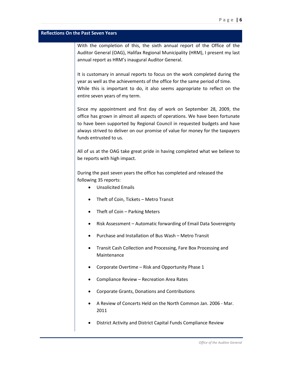#### **Reflections On the Past Seven Years**

With the completion of this, the sixth annual report of the Office of the Auditor General (OAG), Halifax Regional Municipality (HRM), I present my last annual report as HRM's inaugural Auditor General.

It is customary in annual reports to focus on the work completed during the year as well as the achievements of the office for the same period of time. While this is important to do, it also seems appropriate to reflect on the entire seven years of my term.

Since my appointment and first day of work on September 28, 2009, the office has grown in almost all aspects of operations. We have been fortunate to have been supported by Regional Council in requested budgets and have always strived to deliver on our promise of value for money for the taxpayers funds entrusted to us.

All of us at the OAG take great pride in having completed what we believe to be reports with high impact.

During the past seven years the office has completed and released the following 35 reports:

- Unsolicited Emails
- Theft of Coin, Tickets Metro Transit
- Theft of Coin Parking Meters
- Risk Assessment Automatic forwarding of Email Data Sovereignty
- Purchase and Installation of Bus Wash Metro Transit
- Transit Cash Collection and Processing, Fare Box Processing and Maintenance
- Corporate Overtime Risk and Opportunity Phase 1
- Compliance Review Recreation Area Rates
- Corporate Grants, Donations and Contributions
- [A Review of Concerts Held on the North Common Jan. 2006 -](http://www.halifax.ca/auditorgeneral/documents/FINALJune611.pdf) Mar. [2011](http://www.halifax.ca/auditorgeneral/documents/FINALJune611.pdf)
- District Activity and District Capital Funds Compliance Review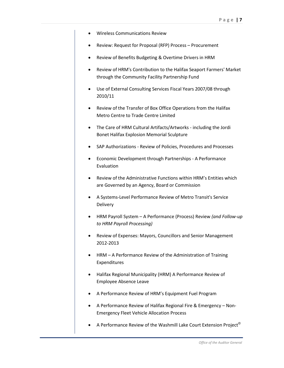- Wireless Communications Review
- Review: Request for Proposal (RFP) Process Procurement
- Review of Benefits Budgeting & Overtime Drivers in HRM
- [Review of HRM's Contribution to the Halifax Seaport Farmers' Market](http://www.halifax.ca/AuditorGeneral/documents/WebOKFinalFrmrsMrktFeb2012.pdf)  through the [Community Facility Partnership Fund](http://www.halifax.ca/AuditorGeneral/documents/WebOKFinalFrmrsMrktFeb2012.pdf)
- [Use of External Consulting Services Fiscal Years 2007/08 through](http://www.halifax.ca/AuditorGeneral/documents/WebOKUseofConsultantsReview2012_000.pdf)  [2010/11](http://www.halifax.ca/AuditorGeneral/documents/WebOKUseofConsultantsReview2012_000.pdf)
- [Review of the Transfer of Box Office Operations from the Halifax](http://www.halifax.ca/AuditorGeneral/documents/WebOKFinalTicketAtlanticcJuly12.pdf)  [Metro Centre to Trade Centre Limited](http://www.halifax.ca/AuditorGeneral/documents/WebOKFinalTicketAtlanticcJuly12.pdf)
- [The Care of HRM Cultural Artifacts/Artworks -](http://www.halifax.ca/AuditorGeneral/documents/CulturalArtifactsDec12_000.pdf) including the Jordi [Bonet Halifax Explosion Memorial Sculpture](http://www.halifax.ca/AuditorGeneral/documents/CulturalArtifactsDec12_000.pdf)
- SAP Authorizations [Review of Policies, Procedures and Processes](http://www.halifax.ca/AuditorGeneral/documents/SAPAuthorizationsDec12_000.pdf)
- [Economic Development through Partnerships -](http://www.halifax.ca/AuditorGeneral/documents/FinalEconDevFeb13_000.pdf) A Performance [Evaluation](http://www.halifax.ca/AuditorGeneral/documents/FinalEconDevFeb13_000.pdf)
- [Review of the Administrative Functions within HRM's Entities which](http://www.halifax.ca/AuditorGeneral/documents/ABCsadministrativefunctionsReport_000.pdf)  [are Governed by an Agency, Board or Commission](http://www.halifax.ca/AuditorGeneral/documents/ABCsadministrativefunctionsReport_000.pdf)
- [A Systems-Level Performance Review of](http://www.halifax.ca/AuditorGeneral/documents/FinalSept1013.pdf) Metro Transit's Service [Delivery](http://www.halifax.ca/AuditorGeneral/documents/FinalSept1013.pdf)
- HRM Payroll System [A Performance \(Process\) Review](http://www.halifax.ca/AuditorGeneral/documents/FinalSept13_000.pdf) *(and Follow-up to HRM Payroll Processing)*
- [Review of Expenses: Mayors, Councillors and Senior Management](http://www.halifax.ca/AuditorGeneral/documents/FinalReportReviewofMayorCouncillorandSeniorManagementExpensesafterPeerReview.pdf)  [2012-2013](http://www.halifax.ca/AuditorGeneral/documents/FinalReportReviewofMayorCouncillorandSeniorManagementExpensesafterPeerReview.pdf)
- HRM [A Performance Review of the Administration of Training](http://www.halifax.ca/AuditorGeneral/documents/HRMCorporateTrainingProcessReview-FinalReport.pdf)  [Expenditures](http://www.halifax.ca/AuditorGeneral/documents/HRMCorporateTrainingProcessReview-FinalReport.pdf)
- [Halifax Regional Municipality \(HRM\) A Performance Review of](http://www.halifax.ca/AuditorGeneral/documents/A4-EALR-FinalApril14215pm.pdf)  [Employee Absence Leave](http://www.halifax.ca/AuditorGeneral/documents/A4-EALR-FinalApril14215pm.pdf)
- [A Performance Review of HRM's Equipment Fuel Program](http://www.halifax.ca/auditorgeneral/documents/AReviewofFuelCardManagementFINAL.pdf)
- [A Performance Review of Halifax Regional Fire & Emergency –](http://www.halifax.ca/auditorgeneral/documents/A4-FireFleetAllocationReportFINALOct14.pdf) Non-[Emergency Fleet Vehicle Allocation Process](http://www.halifax.ca/auditorgeneral/documents/A4-FireFleetAllocationReportFINALOct14.pdf)
- A Performance Review of the [Washmill Lake Court Extension Project](http://www.halifax.ca/auditorgeneral/documents/WashmillJan212015FINAL.pdf)<sup>©</sup>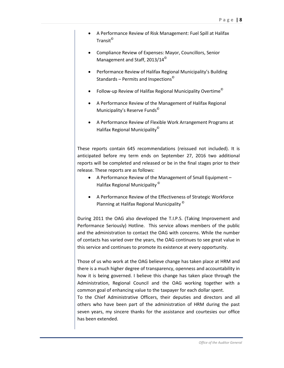- [A Performance Review of Risk Management: Fuel Spill at Halifax](http://www.halifax.ca/auditorgeneral/documents/A5-DraftReport-FuelManagementatHalifaxTransitFINALMay192015.pdf)  [Transit](http://www.halifax.ca/auditorgeneral/documents/A5-DraftReport-FuelManagementatHalifaxTransitFINALMay192015.pdf)<sup>©</sup>
- [Compliance Review of Expenses: Mayor, Councillors, Senior](http://www.halifax.ca/auditorgeneral/documents/A4-ReviewofExpenses2014FinalMay192015.pdf)  [Management and Staff, 2013/14](http://www.halifax.ca/auditorgeneral/documents/A4-ReviewofExpenses2014FinalMay192015.pdf)<sup>©</sup>
- [Performance Review of Halifax Regional Municipality's Building](http://www.halifax.ca/auditorgeneral/documents/A4APerformanceReviewofHRMsBuildingApprovalServicesFINAL.pdf)  Standards – [Permits and Inspections](http://www.halifax.ca/auditorgeneral/documents/A4APerformanceReviewofHRMsBuildingApprovalServicesFINAL.pdf)©
- [Follow-up Review of Halifax Regional Municipality Overtime](http://www.halifax.ca/auditorgeneral/documents/OvertimeFollowupwithManagementResponseFINAL.pdf)<sup> $\degree$ </sup>
- [A Performance Review of the Management of Halifax Regional](http://www.halifax.ca/auditorgeneral/documents/A5-APerformanceReviewoftheManagementofReserveFundsFINAL.pdf)  [Municipality's Reserve Funds](http://www.halifax.ca/auditorgeneral/documents/A5-APerformanceReviewoftheManagementofReserveFundsFINAL.pdf)©
- [A Performance Review of Flexible Work Arrangement Programs at](http://www.halifax.ca/auditorgeneral/documents/FlexibleWorkArrangementsFINAL.pdf)  [Halifax Regional Municipality](http://www.halifax.ca/auditorgeneral/documents/FlexibleWorkArrangementsFINAL.pdf)©

These reports contain 645 recommendations (reissued not included). It is anticipated before my term ends on September 27, 2016 two additional reports will be completed and released or be in the final stages prior to their release. These reports are as follows:

- [A Performance Review of the Management of Small Equipment –](http://www.halifax.ca/auditorgeneral/documents/A5-APerformanceReviewoftheManagementofReserveFundsFINAL.pdf) [Halifax Regional Municipality](http://www.halifax.ca/auditorgeneral/documents/A5-APerformanceReviewoftheManagementofReserveFundsFINAL.pdf) ©
- [A Performance Review of the Effectiveness of Strategic Workforce](http://www.halifax.ca/auditorgeneral/documents/FlexibleWorkArrangementsFINAL.pdf)  [Planning at Halifax Regional Municipality](http://www.halifax.ca/auditorgeneral/documents/FlexibleWorkArrangementsFINAL.pdf) ©

During 2011 the OAG also developed the T.I.P.S. (Taking Improvement and Performance Seriously) Hotline. This service allows members of the public and the administration to contact the OAG with concerns. While the number of contacts has varied over the years, the OAG continues to see great value in this service and continues to promote its existence at every opportunity.

Those of us who work at the OAG believe change has taken place at HRM and there is a much higher degree of transparency, openness and accountability in how it is being governed. I believe this change has taken place through the Administration, Regional Council and the OAG working together with a common goal of enhancing value to the taxpayer for each dollar spent.

To the Chief Administrative Officers, their deputies and directors and all others who have been part of the administration of HRM during the past seven years, my sincere thanks for the assistance and courtesies our office has been extended.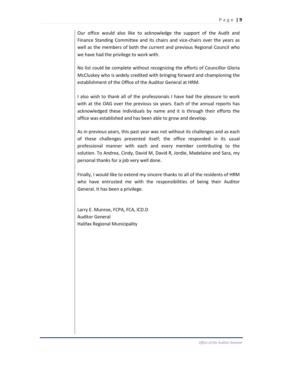Our office would also like to acknowledge the support of the Audit and Finance Standing Committee and its chairs and vice-chairs over the years as well as the members of both the current and previous Regional Council who we have had the privilege to work with.

No list could be complete without recognizing the efforts of Councillor Gloria McCluskey who is widely credited with bringing forward and championing the establishment of the Office of the Auditor General at HRM.

I also wish to thank all of the professionals I have had the pleasure to work with at the OAG over the previous six years. Each of the annual reports has acknowledged these individuals by name and it is through their efforts the office was established and has been able to grow and develop.

As in previous years, this past year was not without its challenges and as each of these challenges presented itself; the office responded in its usual professional manner with each and every member contributing to the solution. To Andrea, Cindy, David M, David R, Jordie, Madelaine and Sara, my personal thanks for a job very well done.

Finally, I would like to extend my sincere thanks to all of the residents of HRM who have entrusted me with the responsibilities of being their Auditor General. It has been a privilege.

Larry E. Munroe, FCPA, FCA, ICD.D Auditor General Halifax Regional Municipality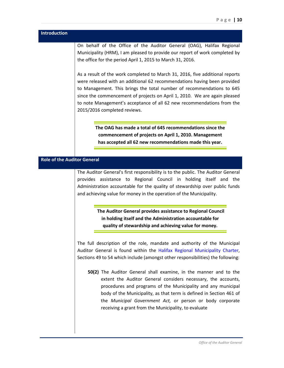| Introduction                       |                                                                                                                                                                                                                                                                                                                                                                                                                          |
|------------------------------------|--------------------------------------------------------------------------------------------------------------------------------------------------------------------------------------------------------------------------------------------------------------------------------------------------------------------------------------------------------------------------------------------------------------------------|
|                                    | On behalf of the Office of the Auditor General (OAG), Halifax Regional<br>Municipality (HRM), I am pleased to provide our report of work completed by<br>the office for the period April 1, 2015 to March 31, 2016.                                                                                                                                                                                                      |
|                                    | As a result of the work completed to March 31, 2016, five additional reports<br>were released with an additional 62 recommendations having been provided<br>to Management. This brings the total number of recommendations to 645<br>since the commencement of projects on April 1, 2010. We are again pleased<br>to note Management's acceptance of all 62 new recommendations from the<br>2015/2016 completed reviews. |
|                                    | The OAG has made a total of 645 recommendations since the<br>commencement of projects on April 1, 2010. Management<br>has accepted all 62 new recommendations made this year.                                                                                                                                                                                                                                            |
| <b>Role of the Auditor General</b> |                                                                                                                                                                                                                                                                                                                                                                                                                          |
|                                    | The Auditor General's first responsibility is to the public. The Auditor General<br>provides assistance to Regional Council in holding itself and the<br>Administration accountable for the quality of stewardship over public funds<br>and achieving value for money in the operation of the Municipality.                                                                                                              |
|                                    | The Auditor General provides assistance to Regional Council<br>in holding itself and the Administration accountable for<br>quality of stewardship and achieving value for money.                                                                                                                                                                                                                                         |
|                                    | The full description of the role, mandate and authority of the Municipal<br>Auditor General is found within the Halifax Regional Municipality Charter,<br>Sections 49 to 54 which include (amongst other responsibilities) the following:<br>50(2) The Auditor General shall examine, in the manner and to the<br>extent the Auditor General considers necessary, the accounts,                                          |
|                                    | procedures and programs of the Municipality and any municipal<br>body of the Municipality, as that term is defined in Section 461 of<br>the Municipal Government Act, or person or body corporate<br>receiving a grant from the Municipality, to evaluate                                                                                                                                                                |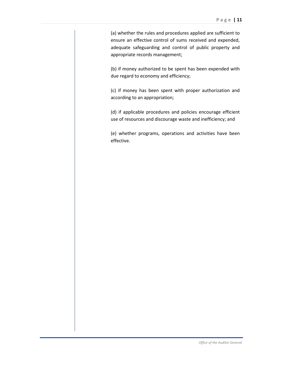(a) whether the rules and procedures applied are sufficient to ensure an effective control of sums received and expended, adequate safeguarding and control of public property and appropriate records management;

(b) if money authorized to be spent has been expended with due regard to economy and efficiency;

(c) if money has been spent with proper authorization and according to an appropriation;

(d) if applicable procedures and policies encourage efficient use of resources and discourage waste and inefficiency; and

(e) whether programs, operations and activities have been effective.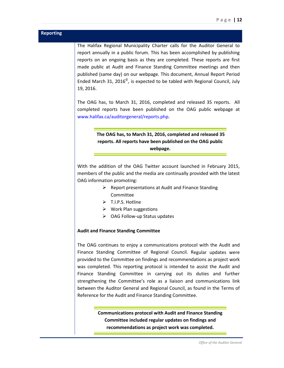| <b>Reporting</b> |                                                                                                                                                                                                                                                                                                                                                                                                                                                                                                                                                                                                     |
|------------------|-----------------------------------------------------------------------------------------------------------------------------------------------------------------------------------------------------------------------------------------------------------------------------------------------------------------------------------------------------------------------------------------------------------------------------------------------------------------------------------------------------------------------------------------------------------------------------------------------------|
|                  | The Halifax Regional Municipality Charter calls for the Auditor General to<br>report annually in a public forum. This has been accomplished by publishing<br>reports on an ongoing basis as they are completed. These reports are first<br>made public at Audit and Finance Standing Committee meetings and then<br>published (same day) on our webpage. This document, Annual Report Period<br>Ended March 31, 2016 $^{\circ}$ , is expected to be tabled with Regional Council, July<br>19, 2016.                                                                                                 |
|                  | The OAG has, to March 31, 2016, completed and released 35 reports. All<br>completed reports have been published on the OAG public webpage at<br>www.halifax.ca/auditorgeneral/reports.php.                                                                                                                                                                                                                                                                                                                                                                                                          |
|                  |                                                                                                                                                                                                                                                                                                                                                                                                                                                                                                                                                                                                     |
|                  | The OAG has, to March 31, 2016, completed and released 35                                                                                                                                                                                                                                                                                                                                                                                                                                                                                                                                           |
|                  | reports. All reports have been published on the OAG public                                                                                                                                                                                                                                                                                                                                                                                                                                                                                                                                          |
|                  | webpage.                                                                                                                                                                                                                                                                                                                                                                                                                                                                                                                                                                                            |
|                  | With the addition of the OAG Twitter account launched in February 2015,<br>members of the public and the media are continually provided with the latest<br>OAG information promoting:<br>$\triangleright$ Report presentations at Audit and Finance Standing<br>Committee<br>> T.I.P.S. Hotline<br>$\triangleright$ Work Plan suggestions<br>$\triangleright$ OAG Follow-up Status updates                                                                                                                                                                                                          |
|                  | <b>Audit and Finance Standing Committee</b>                                                                                                                                                                                                                                                                                                                                                                                                                                                                                                                                                         |
|                  | The OAG continues to enjoy a communications protocol with the Audit and<br>Finance Standing Committee of Regional Council. Regular updates were<br>provided to the Committee on findings and recommendations as project work<br>was completed. This reporting protocol is intended to assist the Audit and<br>Finance Standing Committee in carrying out its duties and further<br>strengthening the Committee's role as a liaison and communications link<br>between the Auditor General and Regional Council, as found in the Terms of<br>Reference for the Audit and Finance Standing Committee. |
|                  | <b>Communications protocol with Audit and Finance Standing</b><br>Committee included regular updates on findings and<br>recommendations as project work was completed.                                                                                                                                                                                                                                                                                                                                                                                                                              |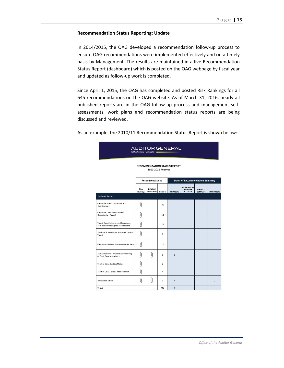#### **Recommendation Status Reporting: Update**

In 2014/2015, the OAG developed a recommendation follow-up process to ensure OAG recommendations were implemented effectively and on a timely basis by Management. The results are maintained in a live Recommendation Status Report (dashboard) which is posted on the OAG webpage by fiscal year and updated as follow-up work is completed.

Since April 1, 2015, the OAG has completed and posted Risk Rankings for all 645 recommendations on the OAG website. As of March 31, 2016, nearly all published reports are in the OAG follow-up process and management selfassessments, work plans and recommendation status reports are being discussed and reviewed.

As an example, the 2010/11 Recommendation Status Report is shown below:

| <b>AUDITOR GENERAL</b><br>Halifax Regional Municipality                              |                        |                               |                |                                          |                                                         |                                     |                   |
|--------------------------------------------------------------------------------------|------------------------|-------------------------------|----------------|------------------------------------------|---------------------------------------------------------|-------------------------------------|-------------------|
| <b>RECOMMENDATION STATUS REPORT</b><br>2010-2011 Reports                             |                        |                               |                |                                          |                                                         |                                     |                   |
|                                                                                      |                        | <b>Recommendations</b>        |                | <b>Status of Recommendations Summary</b> |                                                         |                                     |                   |
|                                                                                      | <b>Risk</b><br>Ranking | Detailed<br>Assessment Number |                | <b>COMPLETE</b>                          | <b>MANAGEMENT</b><br><b>RESPONSE</b><br><b>ACCEPTED</b> | <b>PARTIALLY</b><br><b>COMPLETE</b> | <b>INCOMPLETE</b> |
| <b>Published Reports</b>                                                             |                        |                               |                |                                          |                                                         |                                     |                   |
| Corporate Grants, Donations and<br>Contributions                                     | Q                      |                               | 30             |                                          |                                                         |                                     |                   |
| Corporate Overtime - Risk and<br>Opportunity - Phase 1                               | Q                      |                               | 14             |                                          |                                                         |                                     |                   |
| <b>Transit Cash Collection and Processing</b><br>Fare Box Processing and Maintenance | Û                      |                               | 29             |                                          |                                                         |                                     |                   |
| Purchase & Installation Bus Wash - Metro<br>Transit                                  | Q                      |                               | 8              |                                          |                                                         |                                     |                   |
| Compliance Review: Recreation Area Rates                                             | $\theta$               |                               | 10             |                                          |                                                         |                                     |                   |
| Risk Assessment - Automatic Forwarding<br>of Email Data Sovereignty                  | Q                      | Û                             | $\mathbf{1}$   | $\mathbf{1}$                             |                                                         |                                     |                   |
| Theft of Coin - Parking Meters                                                       | Û                      |                               | $\overline{2}$ |                                          |                                                         |                                     |                   |
| Theft of Coin, Tickets - Metro Transit                                               | Û                      |                               | $\overline{4}$ |                                          |                                                         |                                     |                   |
| <b>Unsolicited Emails</b>                                                            | Q                      | Q                             | 1              | $\mathbf{1}$                             |                                                         |                                     |                   |
| <b>Total</b>                                                                         |                        |                               | 99             | $\overline{2}$                           |                                                         |                                     |                   |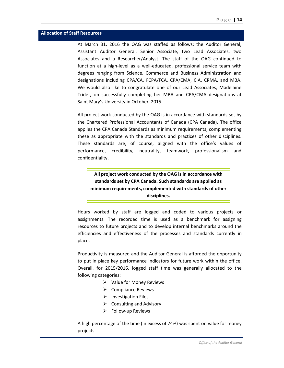## **Allocation of Staff Resources**

At March 31, 2016 the OAG was staffed as follows: the Auditor General, Assistant Auditor General, Senior Associate, two Lead Associates, two Associates and a Researcher/Analyst. The staff of the OAG continued to function at a high-level as a well-educated, professional service team with degrees ranging from Science, Commerce and Business Administration and designations including CPA/CA, FCPA/FCA, CPA/CMA, CIA, CRMA, and MBA. We would also like to congratulate one of our Lead Associates, Madelaine Trider, on successfully completing her MBA and CPA/CMA designations at Saint Mary's University in October, 2015.

All project work conducted by the OAG is in accordance with standards set by the Chartered Professional Accountants of Canada (CPA Canada). The office applies the CPA Canada Standards as minimum requirements, complementing these as appropriate with the standards and practices of other disciplines. These standards are, of course, aligned with the office's values of performance, credibility, neutrality, teamwork, professionalism and confidentiality.

**All project work conducted by the OAG is in accordance with standards set by CPA Canada. Such standards are applied as minimum requirements, complemented with standards of other disciplines.**

Hours worked by staff are logged and coded to various projects or assignments. The recorded time is used as a benchmark for assigning resources to future projects and to develop internal benchmarks around the efficiencies and effectiveness of the processes and standards currently in place.

Productivity is measured and the Auditor General is afforded the opportunity to put in place key performance indicators for future work within the office. Overall, for 2015/2016, logged staff time was generally allocated to the following categories:

- $\triangleright$  Value for Money Reviews
- $\triangleright$  Compliance Reviews
- $\triangleright$  Investigation Files
- $\triangleright$  Consulting and Advisory
- $\triangleright$  Follow-up Reviews

A high percentage of the time (in excess of 74%) was spent on value for money projects.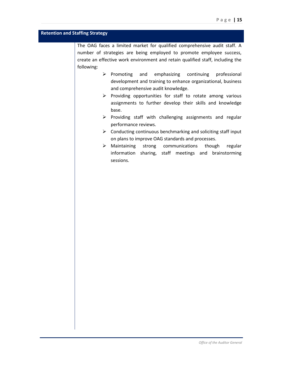## **Retention and Staffing Strategy**

The OAG faces a limited market for qualified comprehensive audit staff. A number of strategies are being employed to promote employee success, create an effective work environment and retain qualified staff, including the following:

- $\triangleright$  Promoting and emphasizing continuing professional development and training to enhance organizational, business and comprehensive audit knowledge.
- $\triangleright$  Providing opportunities for staff to rotate among various assignments to further develop their skills and knowledge base.
- $\triangleright$  Providing staff with challenging assignments and regular performance reviews.
- $\triangleright$  Conducting continuous benchmarking and soliciting staff input on plans to improve OAG standards and processes.
- Maintaining strong communications though regular information sharing, staff meetings and brainstorming sessions.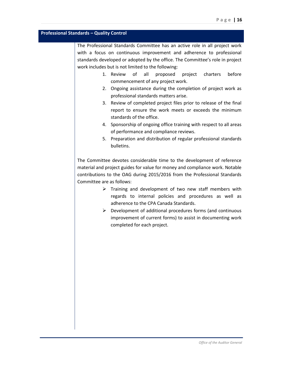## **Professional Standards – Quality Control**

The Professional Standards Committee has an active role in all project work with a focus on continuous improvement and adherence to professional standards developed or adopted by the office. The Committee's role in project work includes but is not limited to the following:

- 1. Review of all proposed project charters before commencement of any project work.
- 2. Ongoing assistance during the completion of project work as professional standards matters arise.
- 3. Review of completed project files prior to release of the final report to ensure the work meets or exceeds the minimum standards of the office.
- 4. Sponsorship of ongoing office training with respect to all areas of performance and compliance reviews.
- 5. Preparation and distribution of regular professional standards bulletins.

The Committee devotes considerable time to the development of reference material and project guides for value for money and compliance work. Notable contributions to the OAG during 2015/2016 from the Professional Standards Committee are as follows:

- $\triangleright$  Training and development of two new staff members with regards to internal policies and procedures as well as adherence to the CPA Canada Standards.
- $\triangleright$  Development of additional procedures forms (and continuous improvement of current forms) to assist in documenting work completed for each project.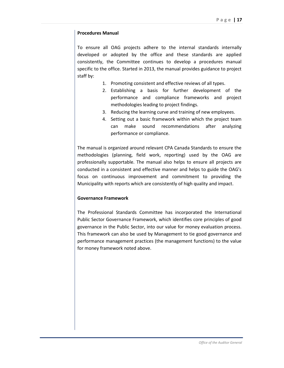## **Procedures Manual**

To ensure all OAG projects adhere to the internal standards internally developed or adopted by the office and these standards are applied consistently, the Committee continues to develop a procedures manual specific to the office. Started in 2013, the manual provides guidance to project staff by:

- 1. Promoting consistent and effective reviews of all types.
- 2. Establishing a basis for further development of the performance and compliance frameworks and project methodologies leading to project findings.
- 3. Reducing the learning curve and training of new employees.
- 4. Setting out a basic framework within which the project team can make sound recommendations after analyzing performance or compliance.

The manual is organized around relevant CPA Canada Standards to ensure the methodologies (planning, field work, reporting) used by the OAG are professionally supportable. The manual also helps to ensure all projects are conducted in a consistent and effective manner and helps to guide the OAG's focus on continuous improvement and commitment to providing the Municipality with reports which are consistently of high quality and impact.

## **Governance Framework**

The Professional Standards Committee has incorporated the International Public Sector Governance Framework, which identifies core principles of good governance in the Public Sector, into our value for money evaluation process. This framework can also be used by Management to tie good governance and performance management practices (the management functions) to the value for money framework noted above.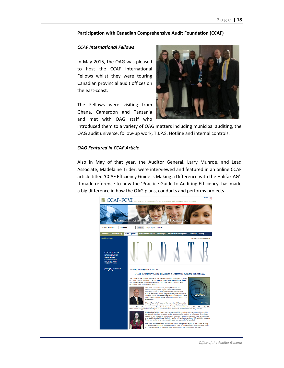#### **Participation with Canadian Comprehensive Audit Foundation (CCAF)**

#### *CCAF International Fellows*

In May 2015, the OAG was pleased to host the CCAF International Fellows whilst they were touring Canadian provincial audit offices on the east-coast.

The Fellows were visiting from Ghana, Cameroon and Tanzania and met with OAG staff who



introduced them to a variety of OAG matters including municipal auditing, the OAG audit universe, follow-up work, T.I.P.S. Hotline and internal controls.

#### *OAG Featured in CCAF Article*

Also in May of that year, the Auditor General, Larry Munroe, and Lead Associate, Madelaine Trider, were interviewed and featured in an online CCAF article titled 'CCAF Efficiency Guide is Making a Difference with the Halifax AG'. It made reference to how the 'Practice Guide to Auditing Efficiency' has made a big difference in how the OAG plans, conducts and performs projects.

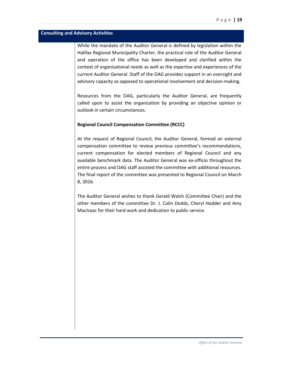## **Consulting and Advisory Activities**

While the mandate of the Auditor General is defined by legislation within the Halifax Regional Municipality Charter, the practical role of the Auditor General and operation of the office has been developed and clarified within the context of organizational needs as well as the expertise and experiences of the current Auditor General. Staff of the OAG provides support in an oversight and advisory capacity as opposed to operational involvement and decision-making.

Resources from the OAG, particularly the Auditor General, are frequently called upon to assist the organization by providing an objective opinion or outlook in certain circumstances.

## **Regional Council Compensation Committee (RCCC)**

At the request of Regional Council, the Auditor General, formed an external compensation committee to review previous committee's recommendations, current compensation for elected members of Regional Council and any available benchmark data. The Auditor General was ex-officio throughout the entire process and OAG staff assisted the committee with additional resources. The final report of the committee was presented to Regional Council on March 8, 2016.

The Auditor General wishes to thank Gerald Walsh (Committee Chair) and the other members of the committee Dr. J. Colin Dodds, Cheryl Hodder and Amy MacIsaac for their hard work and dedication to public service.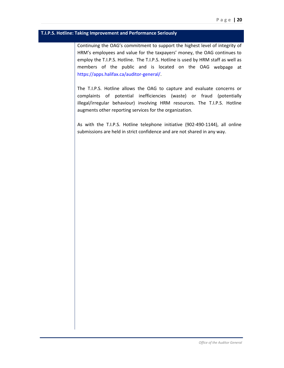## **T.I.P.S. Hotline: Taking Improvement and Performance Seriously**

Continuing the OAG's commitment to support the highest level of integrity of HRM's employees and value for the taxpayers' money, the OAG continues to employ the T.I.P.S. Hotline. The T.I.P.S. Hotline is used by HRM staff as well as members of the public and is located on the OAG webpage at [https://apps.halifax.ca/auditor-general/.](https://apps.halifax.ca/auditor-general/)

The T.I.P.S. Hotline allows the OAG to capture and evaluate concerns or complaints of potential inefficiencies (waste) or fraud (potentially illegal/irregular behaviour) involving HRM resources. The T.I.P.S. Hotline augments other reporting services for the organization.

As with the T.I.P.S. Hotline telephone initiative (902-490-1144), all online submissions are held in strict confidence and are not shared in any way.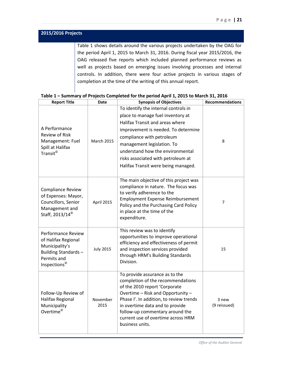| 2015/2016 Projects |                                                                               |
|--------------------|-------------------------------------------------------------------------------|
|                    | Table 1 shows details around the various projects undertaken by the OAG for   |
|                    | the period April 1, 2015 to March 31, 2016. During fiscal year 2015/2016, the |
|                    | OAG released five reports which included planned performance reviews as       |
|                    | well as projects based on emerging issues involving processes and internal    |
|                    | controls. In addition, there were four active projects in various stages of   |
|                    | completion at the time of the writing of this annual report.                  |

| <b>Report Title</b>                                                                                                                  | <b>Date</b>       | <b>Synopsis of Objectives</b>                                                                                                                                                                                                                                                                                                   | <b>Recommendations</b> |
|--------------------------------------------------------------------------------------------------------------------------------------|-------------------|---------------------------------------------------------------------------------------------------------------------------------------------------------------------------------------------------------------------------------------------------------------------------------------------------------------------------------|------------------------|
| A Performance<br><b>Review of Risk</b><br>Management: Fuel<br>Spill at Halifax<br>Transit <sup>©</sup>                               | <b>March 2015</b> | To identify the internal controls in<br>place to manage fuel inventory at<br>Halifax Transit and areas where<br>improvement is needed. To determine<br>compliance with petroleum<br>management legislation. To<br>understand how the environmental<br>risks associated with petroleum at<br>Halifax Transit were being managed. | 8                      |
| Compliance Review<br>of Expenses: Mayor,<br>Councillors, Senior<br>Management and<br>Staff, 2013/14 <sup>©</sup>                     | April 2015        | The main objective of this project was<br>compliance in nature. The focus was<br>to verify adherence to the<br><b>Employment Expense Reimbursement</b><br>Policy and the Purchasing Card Policy<br>in place at the time of the<br>expenditure.                                                                                  | $\overline{7}$         |
| <b>Performance Review</b><br>of Halifax Regional<br>Municipality's<br>Building Standards-<br>Permits and<br>Inspections <sup>®</sup> | <b>July 2015</b>  | This review was to identify<br>opportunities to improve operational<br>efficiency and effectiveness of permit<br>and inspection services provided<br>through HRM's Building Standards<br>Division.                                                                                                                              | 15                     |
| Follow-Up Review of<br><b>Halifax Regional</b><br>Municipality<br>Overtime <sup>©</sup>                                              | November<br>2015  | To provide assurance as to the<br>completion of the recommendations<br>of the 2010 report 'Corporate<br>Overtime - Risk and Opportunity -<br>Phase I'. In addition, to review trends<br>in overtime data and to provide<br>follow-up commentary around the<br>current use of overtime across HRM<br>business units.             | 3 new<br>(9 reissued)  |

## **Table 1 – Summary of Projects Completed for the period April 1, 2015 to March 31, 2016**